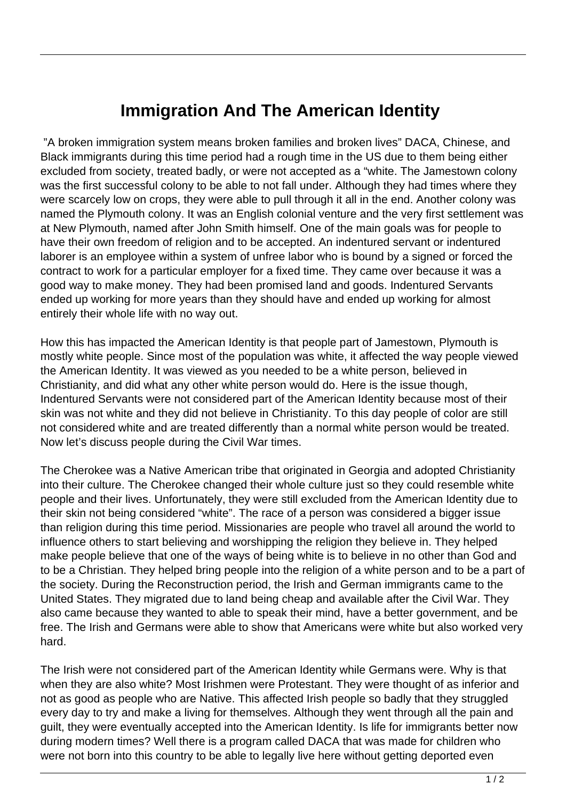## **Immigration And The American Identity**

 "A broken immigration system means broken families and broken lives" DACA, Chinese, and Black immigrants during this time period had a rough time in the US due to them being either excluded from society, treated badly, or were not accepted as a "white. The Jamestown colony was the first successful colony to be able to not fall under. Although they had times where they were scarcely low on crops, they were able to pull through it all in the end. Another colony was named the Plymouth colony. It was an English colonial venture and the very first settlement was at New Plymouth, named after John Smith himself. One of the main goals was for people to have their own freedom of religion and to be accepted. An indentured servant or indentured laborer is an employee within a system of unfree labor who is bound by a signed or forced the contract to work for a particular employer for a fixed time. They came over because it was a good way to make money. They had been promised land and goods. Indentured Servants ended up working for more years than they should have and ended up working for almost entirely their whole life with no way out.

How this has impacted the American Identity is that people part of Jamestown, Plymouth is mostly white people. Since most of the population was white, it affected the way people viewed the American Identity. It was viewed as you needed to be a white person, believed in Christianity, and did what any other white person would do. Here is the issue though, Indentured Servants were not considered part of the American Identity because most of their skin was not white and they did not believe in Christianity. To this day people of color are still not considered white and are treated differently than a normal white person would be treated. Now let's discuss people during the Civil War times.

The Cherokee was a Native American tribe that originated in Georgia and adopted Christianity into their culture. The Cherokee changed their whole culture just so they could resemble white people and their lives. Unfortunately, they were still excluded from the American Identity due to their skin not being considered "white". The race of a person was considered a bigger issue than religion during this time period. Missionaries are people who travel all around the world to influence others to start believing and worshipping the religion they believe in. They helped make people believe that one of the ways of being white is to believe in no other than God and to be a Christian. They helped bring people into the religion of a white person and to be a part of the society. During the Reconstruction period, the Irish and German immigrants came to the United States. They migrated due to land being cheap and available after the Civil War. They also came because they wanted to able to speak their mind, have a better government, and be free. The Irish and Germans were able to show that Americans were white but also worked very hard.

The Irish were not considered part of the American Identity while Germans were. Why is that when they are also white? Most Irishmen were Protestant. They were thought of as inferior and not as good as people who are Native. This affected Irish people so badly that they struggled every day to try and make a living for themselves. Although they went through all the pain and guilt, they were eventually accepted into the American Identity. Is life for immigrants better now during modern times? Well there is a program called DACA that was made for children who were not born into this country to be able to legally live here without getting deported even